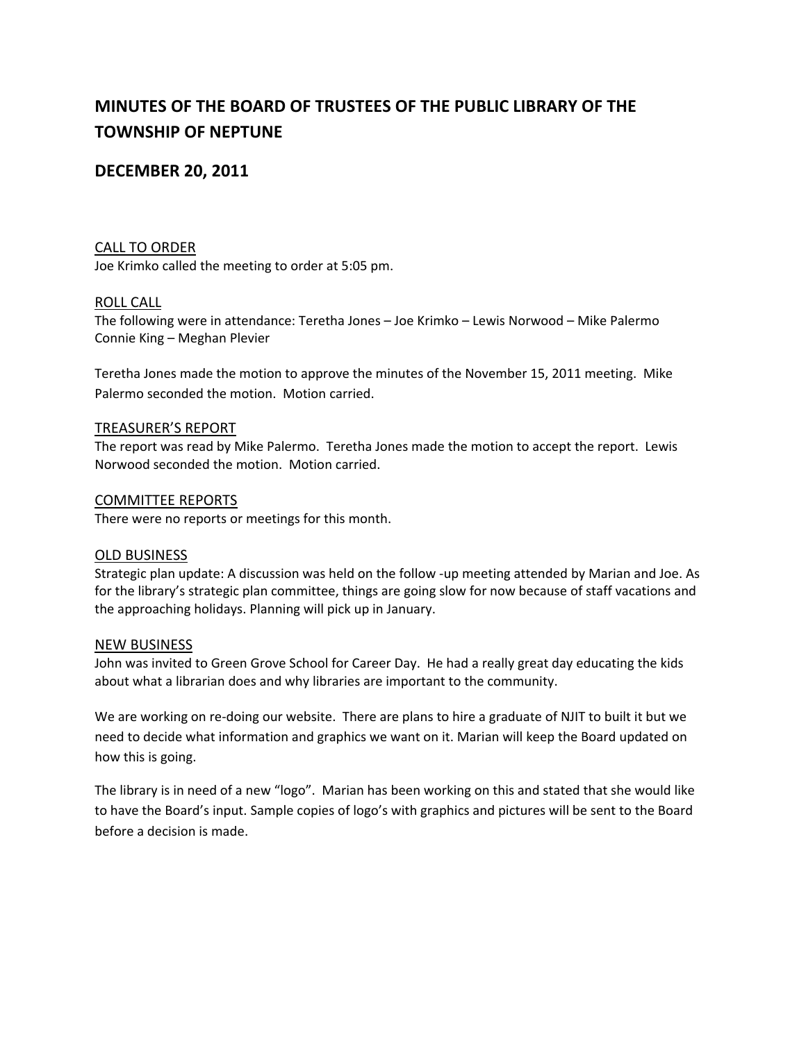# **MINUTES OF THE BOARD OF TRUSTEES OF THE PUBLIC LIBRARY OF THE TOWNSHIP OF NEPTUNE**

## **DECEMBER 20, 2011**

#### CALL TO ORDER

Joe Krimko called the meeting to order at 5:05 pm.

#### ROLL CALL

The following were in attendance: Teretha Jones – Joe Krimko – Lewis Norwood – Mike Palermo Connie King – Meghan Plevier

Teretha Jones made the motion to approve the minutes of the November 15, 2011 meeting. Mike Palermo seconded the motion. Motion carried.

#### TREASURER'S REPORT

The report was read by Mike Palermo. Teretha Jones made the motion to accept the report. Lewis Norwood seconded the motion. Motion carried.

#### COMMITTEE REPORTS

There were no reports or meetings for this month.

#### OLD BUSINESS

Strategic plan update: A discussion was held on the follow ‐up meeting attended by Marian and Joe. As for the library's strategic plan committee, things are going slow for now because of staff vacations and the approaching holidays. Planning will pick up in January.

#### NEW BUSINESS

John was invited to Green Grove School for Career Day. He had a really great day educating the kids about what a librarian does and why libraries are important to the community.

We are working on re-doing our website. There are plans to hire a graduate of NJIT to built it but we need to decide what information and graphics we want on it. Marian will keep the Board updated on how this is going.

The library is in need of a new "logo". Marian has been working on this and stated that she would like to have the Board's input. Sample copies of logo's with graphics and pictures will be sent to the Board before a decision is made.